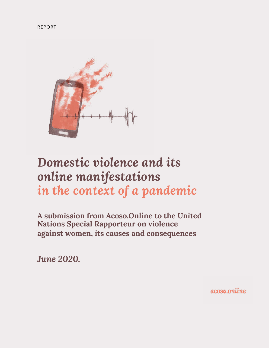

# *Domestic violence and its online manifestations in the context of a pandemic*

**A submission from Acoso.Online to the United Nations Special Rapporteur on violence against women, its causes and consequences**

*June 2020.*

acoso.online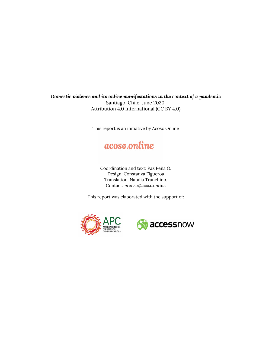*Domestic violence and its online manifestations in the context of a pandemic*  Santiago, Chile. June 2020. Attribution 4.0 International (CC BY 4.0)

This report is an initiative by Acoso.Online

## acoso.online

Coordination and text: Paz Peña O. Design: Constanza Figueroa Translation: Natalia Tranchino. Contact: *prensa@acoso.online*

This report was elaborated with the support of:



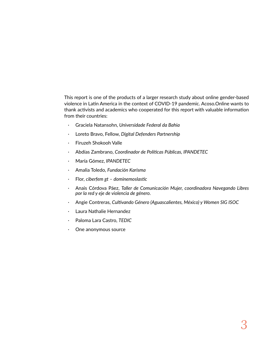This report is one of the products of a larger research study about online gender-based violence in Latin America in the context of COVID-19 pandemic. Acoso.Online wants to thank activists and academics who cooperated for this report with valuable information from their countries:

- · Graciela Natansohn, *Universidade Federal da Bahia*
- · Loreto Bravo, Fellow, *Digital Defenders Partnership*
- · Firuzeh Shokooh Valle
- · Abdías Zambrano, *Coordinador de Políticas Públicas, IPANDETEC*
- · María Gómez, *IPANDETEC*
- · Amalia Toledo, *Fundación Karisma*
- · Flor, *ciberfem gt dominemoslastic*
- · Anais Córdova Páez, *Taller de Comunicación Mujer, coordinadora Navegando Libres por la red y eje de violencia de género.*
- · Angie Contreras, *Cultivando Género (Aguascalientes, México) y Women SIG ISOC*
- · Laura Nathalie Hernandez
- · Paloma Lara Castro, *TEDIC*
- · One anonymous source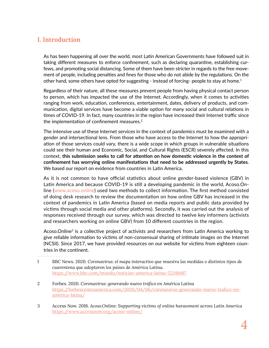### **I. Introduction**

As has been happening all over the world, most Latin American Governments have followed suit in taking different measures to enforce confinement, such as declaring quarantine, establishing curfews, and promoting social distancing. Some of them have been stricter in regards to the free movement of people, including penalties and fines for those who do not abide by the regulations. On the other hand, some others have opted for suggesting - instead of forcing- people to stay at home.<sup>1</sup>

Regardless of their nature, all these measures prevent people from having physical contact person to person, which has impacted the use of the Internet. Accordingly, when it comes to activities ranging from work, education, conferences, entertainment, dates, delivery of products, and communication, digital services have become a viable option for many social and cultural relations in times of COVID-19. In fact, many countries in the region have increased their Internet traffic since the implementation of confinement measures.<sup>2</sup>

The intensive use of these Internet services in the context of pandemics must be examined with a gender and intersectional lens. From those who have access to the Internet to how the appropriation of those services could vary, there is a wide scope in which groups in vulnerable situations could see their human and Economic, Social, and Cultural Rights (ESCR) severely affected. In this context, **this submission seeks to call for attention on how domestic violence in the context of confinement has worrying online manifestations that need to be addressed urgently by States**. We based our report on evidence from countries in Latin America.

As it is not common to have official statistics about online gender-based violence (GBV) in Latin America and because COVID-19 is still a developing pandemic in the world, Acoso.Online [\(www.acoso.online\)](http://www.acoso.online) used two methods to collect information. The first method consisted of doing desk research to review the documentation on how online GBV has increased in the context of pandemics in Latin America (based on media reports and public data provided by victims through social media and other platforms). Secondly, it was carried out the analysis of responses received through our survey, which was directed to twelve key informers (activists and researchers working on online GBV) from 10 different countries in the region.

Acoso.Online<sup>3</sup> is a collective project of activists and researchers from Latin America working to give reliable information to victims of non-consensual sharing of intimate images on the Internet (NCSII). Since 2017, we have provided resources on our website for victims from eighteen countries in the continent.

- 1 BBC News. 2020. *Coronavirus: el mapa interactivo que muestra las medidas o distintos tipos de cuarentena que adoptaron los países de América Latina.* <https://www.bbc.com/mundo/noticias-america-latina-52248497>
- 2 Forbes. 2020. *Coronavirus: generando nuevo tráfico en América Latina* [https://forbescentroamerica.com/2020/04/06/coronavirus-generando-nuevo-trafico-en](https://forbescentroamerica.com/2020/04/06/coronavirus-generando-nuevo-trafico-en-america-latina/)[america-latina/](https://forbescentroamerica.com/2020/04/06/coronavirus-generando-nuevo-trafico-en-america-latina/)
- 3 Access Now. 2018. *Acoso.Online: Supporting victims of online harassment across Latin America* <https://www.accessnow.org/acoso-online/>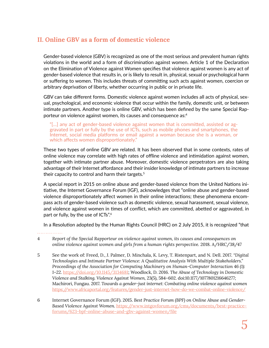### **II. Online GBV as a form of domestic violence**

Gender-based violence (GBV) is recognized as one of the most serious and prevalent human rights violations in the world and a form of discrimination against women. Article 1 of the Declaration on the Elimination of Violence against Women specifies that violence against women is any act of gender-based violence that results in, or is likely to result in, physical, sexual or psychological harm or suffering to women. This includes threats of committing such acts against women, coercion or arbitrary deprivation of liberty, whether occurring in public or in private life.

GBV can take different forms. Domestic violence against women includes all acts of physical, sexual, psychological, and economic violence that occur within the family, domestic unit, or between intimate partners. Another type is online GBV, which has been defined by the same Special Rapporteur on violence against women, its causes and consequence as:<sup>4</sup>

"[…] any act of gender-based violence against women that is committed, assisted or aggravated in part or fully by the use of ICTs, such as mobile phones and smartphones, the Internet, social media platforms or email against a woman because she is a woman, or which affects women disproportionately."

These two types of online GBV are related. It has been observed that in some contexts, rates of online violence may correlate with high rates of offline violence and intimidation against women, together with intimate partner abuse. Moreover, domestic violence perpetrators are also taking advantage of their Internet affordance and their insider knowledge of intimate partners to increase their capacity to control and harm their targets.<sup>5</sup>

A special report in 2015 on online abuse and gender-based violence from the United Nations initiative, the Internet Governance Forum (IGF), acknowledges that "online abuse and gender-based violence disproportionately affect women in their online interactions; these phenomena encompass acts of gender-based violence such as domestic violence, sexual harassment, sexual violence, and violence against women in times of conflict, which are committed, abetted or aggravated, in part or fully, by the use of ICTs".<sup>6</sup>

In a Resolution adopted by the Human Rights Council (HRC) on 2 July 2015, it is recognized "that

- 5 See the work of: Freed, D., J. Palmer, D. Minchala, K. Levy, T. Ristenpart, and N. Dell. 2017. *"Digital Technologies and Intimate Partner Violence: A Qualitative Analysis With Multiple Stakeholders." Proceedings of the Association for Computing Machinery on Human-Computer Interaction 46 (1): 1–22.* <https://doi.org/10.1145/3134681>; Woodlock, D. 2016. *The Abuse of Technology in Domestic Violence and Stalking. Violence Against Women,* 23(5), 584–602. doi:10.1177/1077801216646277; Machirori, Fungau. 2017. *Towards a gender-just internet: Combating online violence against women* <https://www.africaportal.org/features/gender-just-internet-how-do-we-combat-online-violence/>
- 6 Internet Governance Forum (IGF). 2015. *Best Practice Forum (BPF) on Online Abuse and Gender-Based Violence Against Women.* [https://www.intgovforum.org/cms/documents/best-practice](https://www.intgovforum.org/cms/documents/best-practice-forums/623-bpf-online-abuse-and-gbv-against-)[forums/623-bpf-online-abuse-and-gbv-against-women/file](https://www.intgovforum.org/cms/documents/best-practice-forums/623-bpf-online-abuse-and-gbv-against-)

<sup>4</sup> *Report of the Special Rapporteur on violence against women, its causes and consequences on online violence against women and girls from a human rights perspective.* 2018. A/HRC/38/47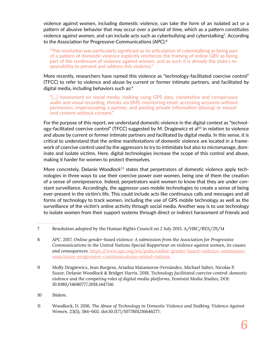violence against women, including domestic violence, can take the form of an isolated act or a pattern of abusive behavior that may occur over a period of time, which as a pattern constitutes violence against women, and can include acts such as cyberbullying and cyberstalking<sup>7</sup>. According to the Association for Progressive Communications (APC):<sup>8</sup>

"This resolution was particularly significant as its articulation of cyberstalking as being part of a pattern of domestic violence explicitly reinforces the framing of online GBV as being part of the continuum of violence against women, and as such it is already the state's responsibility to prevent and address this violence."

More recently, researchers have named this violence as "technology-facilitated coercive control" (TFCC) to refer to violence and abuse by current or former intimate partners, and facilitated by digital media, including behaviors such as:9

"[...] harassment on social media, stalking using GPS data, clandestine and conspicuous audio and visual recording, threats via SMS, monitoring email, accessing accounts without permission, impersonating a partner, and posting private information (doxing) or sexualized content without consent."

For the purpose of this report, we understand domestic violence in the digital context as "technology-facilitated coercive control" (TFCC) suggested by M. Dragiewicz et al<sup>10</sup> in relation to violence and abuse by current or former intimate partners and facilitated by digital media. In this sense, it is critical to understand that the online manifestations of domestic violence are located in a framework of coercive control used by the aggressors to try to intimidate but also to micromanage, dominate and isolate victims. Here, digital technologies increase the scope of this control and abuse, making it harder for women to protect themselves.

More concretely, Delanie Woodlock<sup>11</sup> states that perpetrators of domestic violence apply technologies in three ways to use their coercive power over women, being one of them the creation of a sense of omnipresence. Indeed, perpetrators want women to know that they are under constant surveillance. Accordingly, the aggressor uses mobile technologies to create a sense of being ever-present in the victim's life. This could include acts like continuous calls and messages and all forms of technology to track women, including the use of GPS mobile technology as well as the surveillance of the victim's online activity through social media. Another way is to use technology to isolate women from their support systems through direct or indirect harassment of friends and

- 8 APC. 2017. *Online gender-based violence: A submission from the Association for Progressive Communications to the United Nations Special Rapporteur on violence against women, its causes and consequences.* [https://www.apc.org/en/pubs/online-gender-based-violence-submission](https://www.apc.org/en/pubs/online-gender-based-violence-submission-association-progressive-communic)[association-progressive-communications-united-nations](https://www.apc.org/en/pubs/online-gender-based-violence-submission-association-progressive-communic)
- 9 Molly Dragiewicz, Jean Burgess, Ariadna Matamoros-Fernández, Michael Salter, Nicolas P. Suzor, Delanie Woodlock & Bridget Harris. 2018. *Technology facilitated coercive control: domestic violence and the competing roles of digital media platforms, Feminist Media Studies,* DOI: 10.1080/14680777.2018.1447341
- 10 *Ibídem.*
- 11 Woodlock, D. 2016. *The Abuse of Technology in Domestic Violence and Stalking. Violence Against Women,* 23(5), 584–602. doi:10.1177/1077801216646277;

<sup>7</sup> Resolution adopted by the Human Rights Council on 2 July 2015. A/HRC/RES/29/14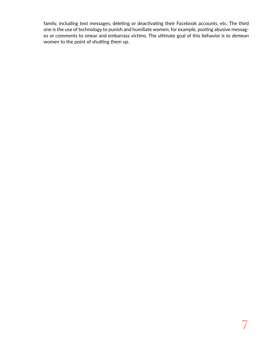family, including text messages, deleting or deactivating their Facebook accounts, etc. The third one is the use of technology to punish and humiliate women; for example, posting abusive messages or comments to smear and embarrass victims. The ultimate goal of this behavior is to demean women to the point of shutting them up.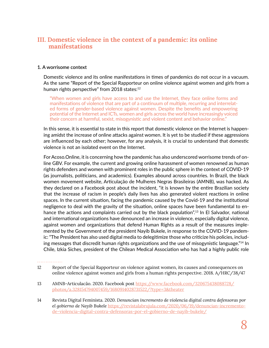### **III. Domestic violence in the context of a pandemic: its online manifestations**

### **1. A worrisome context**

Domestic violence and its online manifestations in times of pandemics do not occur in a vacuum. As the same "Report of the Special Rapporteur on online violence against women and girls from a human rights perspective" from 2018 states:<sup>12</sup>

"When women and girls have access to and use the Internet, they face online forms and manifestations of violence that are part of a continuum of multiple, recurring and interrelated forms of gender-based violence against women. Despite the benefits and empowering potential of the Internet and ICTs, women and girls across the world have increasingly voiced their concern at harmful, sexist, misogynistic and violent content and behavior online."

In this sense, it is essential to state in this report that domestic violence on the Internet is happening amidst the increase of online attacks against women. It is yet to be studied if these aggressions are influenced by each other; however, for any analysis, it is crucial to understand that domestic violence is not an isolated event on the Internet.

For Acoso.Online, it is concerning how the pandemic has also underscored worrisome trends of online GBV. For example, the current and growing online harassment of women renowned as human rights defenders and women with prominent roles in the public sphere in the context of COVID-19 (as journalists, politicians, and academics). Examples abound across countries. In Brazil, the black women movement website, Articulação de Mulheres Negras Brasileiras (AMNB), was hacked. As they declared on a Facebook post about the incident, "it is known by the entire Brazilian society that the increase of racism in people's daily lives has also generated violent reactions in online spaces. In the current situation, facing the pandemic caused by the Covid-19 and the institutional negligence to deal with the gravity of the situation, online spaces have been fundamental to enhance the actions and complaints carried out by the black population".<sup>13</sup> In El Salvador, national and international organizations have denounced an increase in violence, especially digital violence, against women and organizations that defend Human Rights as a result of the measures implemented by the Government of the president Nayib Bukele, in response to the COVID-19 pandemic: "The President has also used digital media to delegitimize those who criticize his policies, including messages that discredit human rights organizations and the use of misogynistic language."14 In Chile, Izkia Siches, president of the Chilean Medical Association who has had a highly public role

- 12 Report of the Special Rapporteur on violence against women, its causes and consequences on online violence against women and girls from a human rights perspective. 2018. A/HRC/38/47
- 13 AMNB-Articulacão. 2020. Facebook post [https://www.facebook.com/320675438088728/](https://www.facebook.com/320675438088728/photos/a.328154794007459/1680914028731522/?type=3&theater) [photos/a.328154794007459/1680914028731522/?type=3&theater](https://www.facebook.com/320675438088728/photos/a.328154794007459/1680914028731522/?type=3&theater)
- 14 Revista Digital Feminista. 2020. *Denuncian incremento de violencia digital contra defensoras por el gobierno de Nayib Bukele* [https://revistalabrujula.com/2020/06/19/denuncian-incremento](https://revistalabrujula.com/2020/06/19/denuncian-incremento-de-violencia-digital-contra-defensoras-)[de-violencia-digital-contra-defensoras-por-el-gobierno-de-nayib-bukele/](https://revistalabrujula.com/2020/06/19/denuncian-incremento-de-violencia-digital-contra-defensoras-)

<sup>&</sup>lt;u>. . . . . . . . . . . . . . .</u>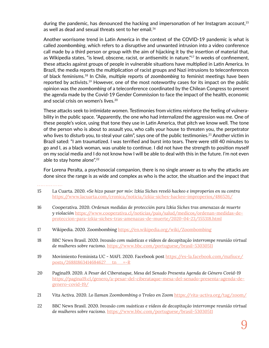during the pandemic, has denounced the hacking and impersonation of her Instagram account,<sup>15</sup> as well as dead and sexual threats sent to her email.<sup>16</sup>

Another worrisome trend in Latin America in the context of the COVID-19 pandemic is what is called *zoombombing*, which refers to a disruptive and unwanted intrusion into a video conference call made by a third person or group with the aim of hijacking it by the insertion of material that, as Wikipedia states, "is lewd, obscene, racist, or antisemitic in nature."<sup>17</sup> In weeks of confinement, these attacks against groups of people in vulnerable situations have multiplied in Latin America. In Brazil, the media reports the multiplication of racist groups and Nazi intrusions to teleconferences of black feminisms.18 In Chile, multiple reports of *zoombombing* to feminist meetings have been reported by activists.<sup>19</sup> However, one of the most noteworthy cases for its impact on the public opinion was the *zoombombing* of a teleconference coordinated by the Chilean Congress to present the agenda made by the Covid-19 Gender Commission to face the impact of the health, economic and social crisis on women's lives.20

These attacks seek to intimidate women. Testimonies from victims reinforce the feeling of vulnerability in the public space. "Apparently, the one who had internalized the aggression was me. One of these people's voice, using that tone they use in Latin America, that pitch we know well. The tone of the person who is about to assault you, who calls your house to threaten you, the perpetrator who lives to disturb you, to steal your calm", says one of the public testimonies.<sup>21</sup> Another victim in Brazil sated: "I am traumatized. I was terrified and burst into tears. There were still 40 minutes to go and I, as a black woman, was unable to continue. I did not have the strength to position myself on my social media and I do not know how I will be able to deal with this in the future. I'm not even able to stay home alone".<sup>22</sup>

For Lorena Peralta, a psychosocial companion, there is no single answer as to why the attacks are done since the range is as wide and complex as who is the actor, the situation and the impact that

- 15 La Cuarta. 2020. *«Se hizo pasar por mí»: Izkia Siches reveló hackeo e improperios en su contra* <https://www.lacuarta.com/cronica/noticia/izkia-siches-hackeo-improperios/486526/>
- 16 Cooperativa. 2020. *Ordenan medidas de protección para Izkia Siches tras amenazas de muerte y violación* [https://www.cooperativa.cl/noticias/pais/salud/medicos/ordenan-medidas-de](https://www.cooperativa.cl/noticias/pais/salud/medicos/ordenan-medidas-de-proteccion-para-izkia-sich)[proteccion-para-izkia-siches-tras-amenazas-de-muerte/2020-04-23/155318.html](https://www.cooperativa.cl/noticias/pais/salud/medicos/ordenan-medidas-de-proteccion-para-izkia-sich)
- 17 Wikipedia. 2020. Zoombombing <https://en.wikipedia.org/wiki/Zoombombing>
- 18 BBC News Brasil. 2020. *Invasão com suásticas e vídeos de decapitação interrompe reunião virtual de mulheres sobre racismo.* <https://www.bbc.com/portuguese/brasil-53030511>
- 19 Movimiento Feminista UC MAFI. 2020. Facebook post [https://es-la.facebook.com/mafiuce/](https://es-la.facebook.com/mafiuce/posts/2688186341468462?__tn__=-R) [posts/2688186341468462?\\_\\_tn\\_\\_=-R](https://es-la.facebook.com/mafiuce/posts/2688186341468462?__tn__=-R)
- 20 Pagina19. 2020. *A Pesar del Ciberataque, Mesa del Senado Presenta Agenda de Género Covid-19* [https://pagina19.cl/genero/a-pesar-del-ciberataque-mesa-del-senado-presenta-agenda-de](https://pagina19.cl/genero/a-pesar-del-ciberataque-mesa-del-senado-presenta-agenda-de-genero-covid-1)[genero-covid-19/](https://pagina19.cl/genero/a-pesar-del-ciberataque-mesa-del-senado-presenta-agenda-de-genero-covid-1)
- 21 Vita Activa. 2020. *Lo llaman Zoombombing o Troleo en Zoom* <https://vita-activa.org/tag/zoom/>
- 22 BBC News Brasil. 2020. *Invasão com suásticas e vídeos de decapitação interrompe reunião virtual de mulheres sobre racismo.* <https://www.bbc.com/portuguese/brasil-53030511>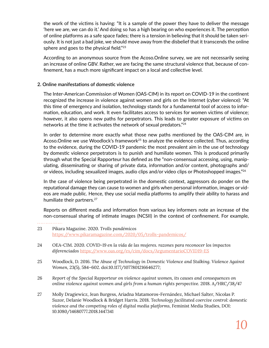the work of the victims is having: "It is a sample of the power they have to deliver the message 'here we are, we can do it.' And doing so has a high bearing on who experiences it. The perception of online platforms as a safe space fades; there is a tension in believing that it should be taken seriously. It is not just a bad joke, we should move away from the disbelief that it transcends the online sphere and goes to the physical field."<sup>23</sup>

According to an anonymous source from the Acoso.Online survey, we are not necessarily seeing an increase of online GBV. Rather, we are facing the same structural violence that, because of confinement, has a much more significant impact on a local and collective level.

### **2. Online manifestations of domestic violence**

The Inter-American Commission of Women (OAS-CIM) in its report on COVID-19 in the continent recognized the increase in violence against women and girls on the Internet (cyber violence): "At this time of emergency and isolation, technology stands for a fundamental tool of access to information, education, and work. It even facilitates access to services for women victims of violence; however, it also opens new paths for perpetrators. This leads to greater exposure of victims on networks at the time it activates the network of sexual predators."<sup>24</sup>

In order to determine more exactly what those new paths mentioned by the OAS-CIM are, in Acoso.Online we use Woodlock's framework<sup>25</sup> to analyze the evidence collected. Thus, according to the evidence, during the COVID-19 pandemic the most prevalent aim in the use of technology by domestic violence perpetrators is to punish and humiliate women. This is produced primarily through what the Special Rapporteur has defined as the "non-consensual accessing, using, manipulating, disseminating or sharing of private data, information and/or content, photographs and/ or videos, including sexualized images, audio clips and/or video clips or Photoshopped images."<sup>26</sup>

In the case of violence being perpetrated in the domestic context, aggressors do ponder on the reputational damage they can cause to women and girls when personal information, images or videos are made public. Hence, they use social media platforms to amplify their ability to harass and humiliate their partners.<sup>27</sup>

Reports on different media and information from various key informers note an increase of the non-consensual sharing of intimate images (NCSII) in the context of confinement. For example,

- 24 OEA-CIM. 2020. *COVID-19 en la vida de las mujeres. razones para reconocer los impactos diferenciados* <https://www.oas.org/es/cim/docs/ArgumentarioCOVID19-ES>
- 25 Woodlock, D. 2016. *The Abuse of Technology in Domestic Violence and Stalking. Violence Against Women,* 23(5), 584–602. doi:10.1177/1077801216646277;
- 26 *Report of the Special Rapporteur on violence against women, its causes and consequences on online violence against women and girls from a human rights perspective.* 2018. A/HRC/38/47
- 27 Molly Dragiewicz, Jean Burgess, Ariadna Matamoros-Fernández, Michael Salter, Nicolas P. Suzor, Delanie Woodlock & Bridget Harris. 2018. *Technology facilitated coercive control: domestic violence and the competing roles of digital media platforms,* Feminist Media Studies, DOI: 10.1080/14680777.2018.1447341

<sup>23</sup> Pikara Magazine. 2020. *Trolls pandémicos* <https://www.pikaramagazine.com/2020/05/trolls-pandemicos/>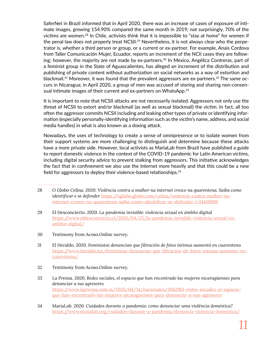SaferNet in Brazil informed that in April 2020, there was an increase of cases of exposure of intimate images, growing 154.90% compared the same month in 2019; not surprisingly, 70% of the victims are women.28 In Chile, activists think that it is impossible to "stay at home" for women if the penal law does not properly treat NCSII.<sup>29</sup> Nevertheless, it is not always clear who the perpetrator is, whether a third person or group, or a current or ex-partner. For example, Anais Cordova from Taller Comunicación Mujer, Ecuador, reports an increment of the NCII cases they are following; however, the majority are not made by ex-partners.<sup>30</sup> In Mexico, Angélica Contreras, part of a feminist group in the State of Aguascalientes, has alleged an increment of the distribution and publishing of private content without authorization on social networks as a way of extortion and blackmail.<sup>31</sup> Moreover, it was found that the prevalent aggressors are ex-partners.<sup>32</sup> The same occurs in Nicaragua; in April 2020, a group of men was accused of storing and sharing non-consensual intimate images of their current and ex-partners on WhatsApp.<sup>33</sup>

It is important to note that NCSII attacks are not necessarily isolated. Aggressors not only use the threat of NCSII to extort and/or blackmail (as well as sexual blackmail) the victim. In fact, all too often the aggressor commits NCSII including and leaking other types of private or identifying information (especially personally-identifying information such as the victim's name, address, and social media handles) in what is also known as a doxing attack.

Nowadays, the uses of technology to create a sense of omnipresence or to isolate women from their support systems are more challenging to distinguish and determine because these attacks have a more private side. However, local activists as MariaLab from Brazil have published a guide to report domestic violence in the context of the COVID-19 pandemic for Latin American victims, including digital security advice to prevent stalking from aggressors. This initiative acknowledges the fact that in confinement we also use the Internet more heavily and that this could be a new field for aggressors to deploy their violence-based relationships.<sup>34</sup>

- 28 O Globo Celina. 2020. *Violência contra a mulher na internet cresce na quarentena. Saiba como identificar e se defender* [https://oglobo.globo.com/celina/violencia-contra-mulher-na](https://oglobo.globo.com/celina/violencia-contra-mulher-na-internet-cresce-na-quarentena-saiba-como-)[internet-cresce-na-quarentena-saiba-como-identificar-se-defender-1-24438989](https://oglobo.globo.com/celina/violencia-contra-mulher-na-internet-cresce-na-quarentena-saiba-como-)
- 29 El Desconcierto. 2020. *La pandemia invisible: violencia sexual en ámbito digital* [https://www.eldesconcierto.cl/2020/04/25/la-pandemia-invisible-violencia-sexual-en](https://www.eldesconcierto.cl/2020/04/25/la-pandemia-invisible-violencia-sexual-en-ambito-digital/)[ambito-digital/](https://www.eldesconcierto.cl/2020/04/25/la-pandemia-invisible-violencia-sexual-en-ambito-digital/)
- 30 Testimony from Acoso.Online survey.
- 31 El Heraldo. 2020. *Feministas denuncian que filtración de fotos íntimas aumentó en cuarentena* [https://www.heraldo.mx/feministas-denuncian-que-filtracion-de-fotos-intimas-aumento-en](https://www.heraldo.mx/feministas-denuncian-que-filtracion-de-fotos-intimas-aumento-en-cuarentena/)[cuarentena/](https://www.heraldo.mx/feministas-denuncian-que-filtracion-de-fotos-intimas-aumento-en-cuarentena/)
- 32 Testimony from Acoso.Online survey.
- 33 La Prensa. 2020. *Redes sociales, el espacio que han encontrado las mujeres nicaragüenses para denunciar a sus agresores*  [https://www.laprensa.com.ni/2020/04/14/nacionales/2662961-redes-sociales-el-espacio](https://www.laprensa.com.ni/2020/04/14/nacionales/2662961-redes-sociales-el-espacio-que-han-encontra)[que-han-encontrado-las-mujeres-nicaraguenses-para-denunciar-a-sus-agresores](https://www.laprensa.com.ni/2020/04/14/nacionales/2662961-redes-sociales-el-espacio-que-han-encontra)
- 34 MariaLab. 2020. *Cuidados durante a pandemia: como denunciar uma violência doméstica?*  <https://www.marialab.org/cuidados-durante-a-pandemia/denuncia-violencia-domestica/>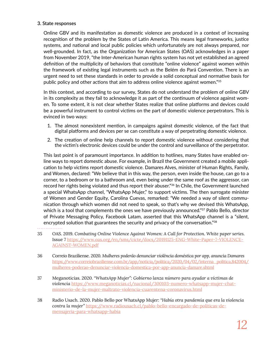### **3. State responses**

Online GBV and its manifestation as domestic violence are produced in a context of increasing recognition of the problem by the States of Latin America. This means legal frameworks, justice systems, and national and local public policies which unfortunately are not always prepared, nor well-grounded. In fact, as the Organization for American States (OAS) acknowledges in a paper from November 2019, "the Inter-American human rights system has not yet established an agreed definition of the multiplicity of behaviors that constitute "online violence" against women within the framework of existing legal instruments such as the Belém do Pará Convention. There is an urgent need to set these standards in order to provide a solid conceptual and normative basis for public policy and other actions that aim to address online violence against women."<sup>35</sup>

In this context, and according to our survey, States do not understand the problem of online GBV in its complexity as they fail to acknowledge it as part of the continuum of violence against women. To some extent, it is not clear whether States realize that online platforms and devices could be a powerful instrument to control victims on the part of domestic violence perpetrators. This is evinced in two ways:

- 1. The almost nonexistent mention, in campaigns against domestic violence, of the fact that digital platforms and devices per se can constitute a way of perpetrating domestic violence.
- 2. The creation of online help channels to report domestic violence without considering that the victim's electronic devices could be under the control and surveillance of the perpetrator.

This last point is of paramount importance. In addition to hotlines, many States have enabled online ways to report domestic abuse. For example, in Brazil the Government created a mobile application to help victims report domestic violence. Damares Alves, minister of Human Rights, Family, and Women, declared: "We believe that in this way, the person, even inside the house, can go to a corner, to a bedroom or to a bathroom and, even being under the same roof as the aggressor, can record her rights being violated and thus report their abuser."<sup>36</sup> In Chile, the Government launched a special WhatsApp channel, "WhatsApp Mujer," to support victims. The then surrogate minister of Women and Gender Equity, Carolina Cuevas, remarked: "We needed a way of silent communication through which women did not need to speak, so that's why we devised this WhatsApp, which is a tool that complements the ones we have previously announced."<sup>37</sup> Pablo Bello, director of Private Messaging Policy, Facebook Latam, asserted that this WhatsApp channel is a "silent, encrypted solution that guarantees the security and privacy of the conversation."<sup>38</sup>

- 35 OAS. 2019. *Combating Online Violence Against Women: A Call for Protection. White paper series.* Issue 7 [https://www.oas.org/en/sms/cicte/docs/20191125-ENG-White-Paper-7-VIOLENCE-](https://www.oas.org/en/sms/cicte/docs/20191125-ENG-White-Paper-7-VIOLENCE-AGAINST-WOMEN.pdf)[AGAINST-WOMEN.pdf](https://www.oas.org/en/sms/cicte/docs/20191125-ENG-White-Paper-7-VIOLENCE-AGAINST-WOMEN.pdf)
- 36 Correio Braziliense. 2020. *Mulheres poderão denunciar violência doméstica por app, anuncia Damares* [https://www.correiobraziliense.com.br/app/noticia/politica/2020/04/02/interna\\_politica,842004/](https://www.correiobraziliense.com.br/app/noticia/politica/2020/04/02/interna_politica,842004/mulher) [mulheres-poderao-denunciar-violencia-domestica-por-app-anuncia-damare.shtml](https://www.correiobraziliense.com.br/app/noticia/politica/2020/04/02/interna_politica,842004/mulher)
- 37 Meganoticias. 2020. *"WhatsApp Mujer": Gobierno lanza número para ayudar a víctimas de violencia* [https://www.meganoticias.cl/nacional/300103-numero-whatsapp-mujer-chat](https://www.meganoticias.cl/nacional/300103-numero-whatsapp-mujer-chat-ministerio-de-la-mujer-maltra)[ministerio-de-la-mujer-maltrato-violencia-cuarentena-coronavirus.html](https://www.meganoticias.cl/nacional/300103-numero-whatsapp-mujer-chat-ministerio-de-la-mujer-maltra)
- 38 Radio Usach. 2020. Pablo Bello por WhatsApp Mujer: *"Había otra pandemia que era la violencia contra la mujer"* [https://www.radiousach.cl/pablo-bello-encargado-de-politicas-de](https://www.radiousach.cl/pablo-bello-encargado-de-politicas-de-mensajeria-para-whatsapp-habia)[mensajeria-para-whatsapp-habia](https://www.radiousach.cl/pablo-bello-encargado-de-politicas-de-mensajeria-para-whatsapp-habia)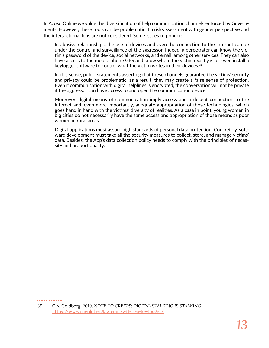In Acoso.Online we value the diversification of help communication channels enforced by Governments. However, these tools can be problematic if a risk-assessment with gender perspective and the intersectional lens are not considered. Some issues to ponder:

- · In abusive relationships, the use of devices and even the connection to the Internet can be under the control and surveillance of the aggressor. Indeed, a perpetrator can know the victim's password of the device, social networks, and email, among other services. They can also have access to the mobile phone GPS and know where the victim exactly is, or even install a keylogger software to control what the victim writes in their devices.<sup>39</sup>
- In this sense, public statements asserting that these channels guarantee the victims' security and privacy could be problematic; as a result, they may create a false sense of protection. Even if communication with digital helplines is encrypted, the conversation will not be private if the aggressor can have access to and open the communication device.
- Moreover, digital means of communication imply access and a decent connection to the Internet and, even more importantly, adequate appropriation of those technologies, which goes hand in hand with the victims' diversity of realities. As a case in point, young women in big cities do not necessarily have the same access and appropriation of those means as poor women in rural areas.
- · Digital applications must assure high standards of personal data protection. Concretely, software development must take all the security measures to collect, store, and manage victims' data. Besides, the App's data collection policy needs to comply with the principles of necessity and proportionality.

<sup>39</sup> C.A. Goldberg. 2019. *NOTE TO CREEPS: DIGITAL STALKING IS STALKING* <https://www.cagoldberglaw.com/wtf-is-a-keylogger/>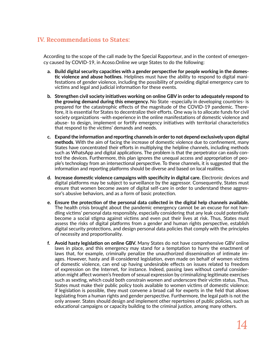### **IV. Recommendations to States:**

According to the scope of the call made by the Special Rapporteur, and in the context of emergency caused by COVID-19, in Acoso.Online we urge States to do the following:

- **a. Build digital security capacities with a gender perspective for people working in the domestic violence and abuse hotlines**. Helplines must have the ability to respond to digital manifestations of gender violence, including the possibility of providing digital emergency care to victims and legal and judicial information for these events.
- **b. Strengthen civil society initiatives working on online GBV in order to adequately respond to the growing demand during this emergency.** No State -especially in developing countries- is prepared for the catastrophic effects of the magnitude of the COVID-19 pandemic. Therefore, it is essential for States to decentralize their efforts. One way is to allocate funds for civil society organizations -with experience in the online manifestations of domestic violence and abuse- to design, implement or fortify emergency initiatives with territorial characteristics that respond to the victims' demands and needs.
- **c. Expand the information and reporting channels in order to not depend exclusively upon digital methods**. With the aim of facing the increase of domestic violence due to confinement, many States have concentrated their efforts in multiplying the helpline channels, including methods such as WhatsApp and digital applications. The problem is that the perpetrator can easily control the devices. Furthermore, this plan ignores the unequal access and appropriation of people's technology from an intersectional perspective. To these channels, it is suggested that the information and reporting platforms should be diverse and based on local realities.
- **d. Increase domestic violence campaigns with specificity in digital care.** Electronic devices and digital platforms may be subject to surveillance by the aggressor. Consequently, States must ensure that women become aware of digital self-care in order to understand these aggressor's abusive behaviors, and as a form of basic protection.
- **e. Ensure the protection of the personal data collected in the digital help channels available.**  The health crisis brought about the pandemic emergency cannot be an excuse for not handling victims' personal data responsibly, especially considering that any leak could potentially become a social stigma against victims and even put their lives at risk. Thus, States must assess the risks of digital platforms from a gender and human rights perspective, establish digital security protections, and design personal data policies that comply with the principles of necessity and proportionality.
- **f. Avoid hasty legislation on online GBV.** Many States do not have comprehensive GBV online laws in place, and this emergency may stand for a temptation to hurry the enactment of laws that, for example, criminally penalize the unauthorized dissemination of intimate images. However, hasty and ill-considered legislation, even made on behalf of women victims of domestic violence, can end up having undesirable effects on issues related to freedom of expression on the Internet, for instance. Indeed, passing laws without careful consideration might affect women's freedom of sexual expression by criminalizing legitimate exercises such as sexting, which could both constrain women and underscore their victim status. Thus, States must make their public policy tools available to women victims of domestic violence: if legislation is possible, they must convene a broad call for experts in the field that allows legislating from a human rights and gender perspective. Furthermore, the legal path is not the only answer. States should design and implement other repertoires of public policies, such as educational campaigns or capacity building to the criminal justice, among many others.